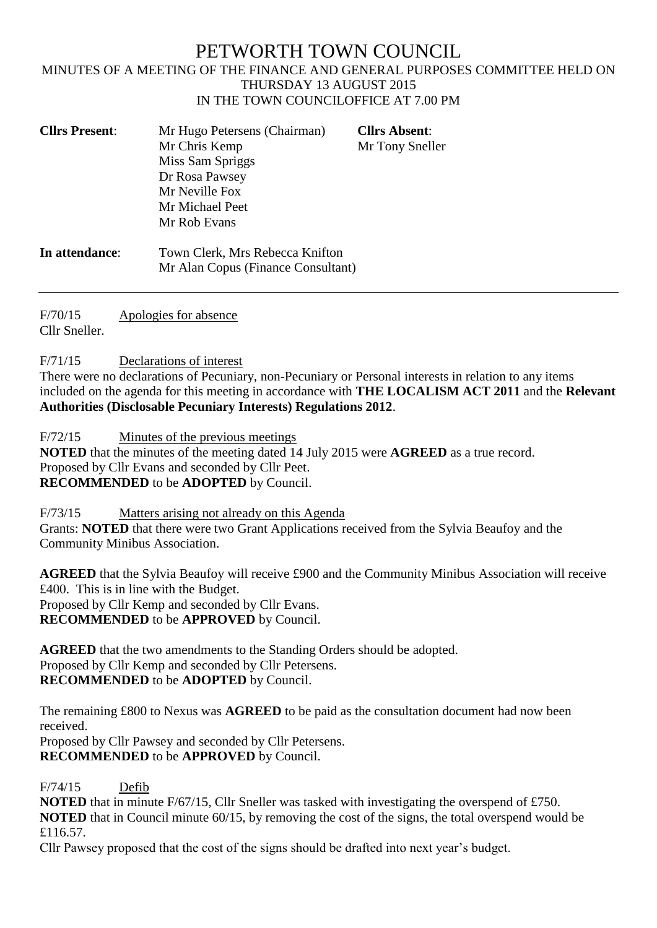# PETWORTH TOWN COUNCIL

#### MINUTES OF A MEETING OF THE FINANCE AND GENERAL PURPOSES COMMITTEE HELD ON THURSDAY 13 AUGUST 2015 IN THE TOWN COUNCILOFFICE AT 7.00 PM

| <b>Cllrs Present:</b> | Mr Hugo Petersens (Chairman)<br>Mr Chris Kemp<br>Miss Sam Spriggs<br>Dr Rosa Pawsey<br>Mr Neville Fox<br>Mr Michael Peet<br>Mr Rob Evans | <b>Cllrs Absent:</b><br>Mr Tony Sneller |
|-----------------------|------------------------------------------------------------------------------------------------------------------------------------------|-----------------------------------------|
| In attendance:        | Town Clerk, Mrs Rebecca Knifton                                                                                                          |                                         |

Mr Alan Copus (Finance Consultant)

F/70/15 Apologies for absence Cllr Sneller.

F/71/15 Declarations of interest

There were no declarations of Pecuniary, non-Pecuniary or Personal interests in relation to any items included on the agenda for this meeting in accordance with **THE LOCALISM ACT 2011** and the **Relevant Authorities (Disclosable Pecuniary Interests) Regulations 2012**.

F/72/15 Minutes of the previous meetings

**NOTED** that the minutes of the meeting dated 14 July 2015 were **AGREED** as a true record. Proposed by Cllr Evans and seconded by Cllr Peet. **RECOMMENDED** to be **ADOPTED** by Council.

F/73/15 Matters arising not already on this Agenda Grants: **NOTED** that there were two Grant Applications received from the Sylvia Beaufoy and the Community Minibus Association.

**AGREED** that the Sylvia Beaufoy will receive £900 and the Community Minibus Association will receive £400. This is in line with the Budget. Proposed by Cllr Kemp and seconded by Cllr Evans.

**RECOMMENDED** to be **APPROVED** by Council.

**AGREED** that the two amendments to the Standing Orders should be adopted. Proposed by Cllr Kemp and seconded by Cllr Petersens. **RECOMMENDED** to be **ADOPTED** by Council.

The remaining £800 to Nexus was **AGREED** to be paid as the consultation document had now been received.

Proposed by Cllr Pawsey and seconded by Cllr Petersens. **RECOMMENDED** to be **APPROVED** by Council.

F/74/15 Defib

**NOTED** that in minute F/67/15, Cllr Sneller was tasked with investigating the overspend of £750. **NOTED** that in Council minute 60/15, by removing the cost of the signs, the total overspend would be £116.57.

Cllr Pawsey proposed that the cost of the signs should be drafted into next year's budget.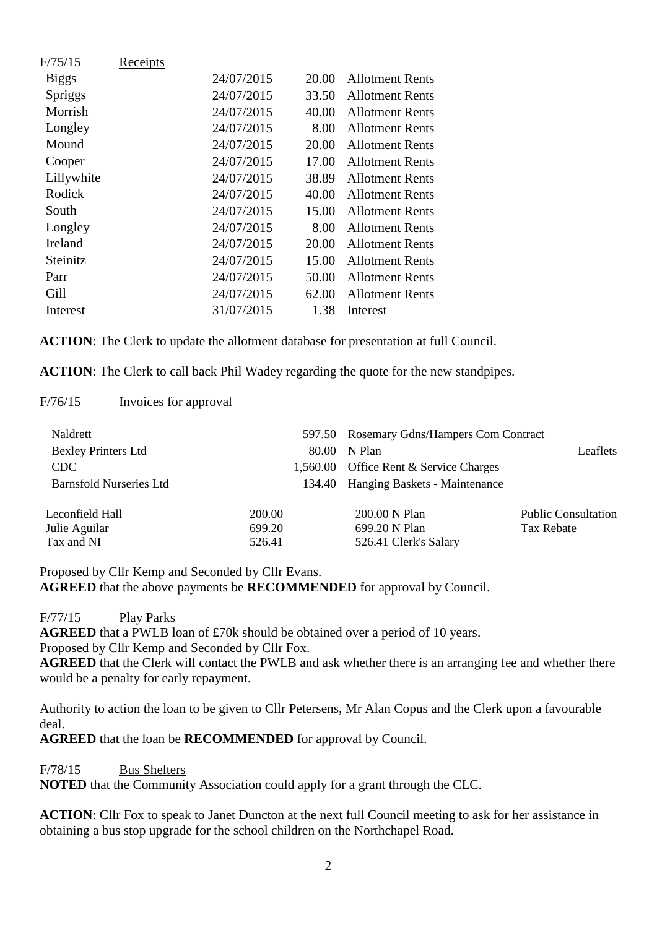| F/75/15      | Receipts |            |       |                        |
|--------------|----------|------------|-------|------------------------|
| <b>Biggs</b> |          | 24/07/2015 | 20.00 | <b>Allotment Rents</b> |
| Spriggs      |          | 24/07/2015 | 33.50 | <b>Allotment Rents</b> |
| Morrish      |          | 24/07/2015 | 40.00 | <b>Allotment Rents</b> |
| Longley      |          | 24/07/2015 | 8.00  | <b>Allotment Rents</b> |
| Mound        |          | 24/07/2015 | 20.00 | <b>Allotment Rents</b> |
| Cooper       |          | 24/07/2015 | 17.00 | <b>Allotment Rents</b> |
| Lillywhite   |          | 24/07/2015 | 38.89 | <b>Allotment Rents</b> |
| Rodick       |          | 24/07/2015 | 40.00 | <b>Allotment Rents</b> |
| South        |          | 24/07/2015 | 15.00 | <b>Allotment Rents</b> |
| Longley      |          | 24/07/2015 | 8.00  | <b>Allotment Rents</b> |
| Ireland      |          | 24/07/2015 | 20.00 | <b>Allotment Rents</b> |
| Steinitz     |          | 24/07/2015 | 15.00 | <b>Allotment Rents</b> |
| Parr         |          | 24/07/2015 | 50.00 | Allotment Rents        |
| Gill         |          | 24/07/2015 | 62.00 | <b>Allotment Rents</b> |
| Interest     |          | 31/07/2015 | 1.38  | Interest               |
|              |          |            |       |                        |

**ACTION**: The Clerk to update the allotment database for presentation at full Council.

**ACTION**: The Clerk to call back Phil Wadey regarding the quote for the new standpipes.

### F/76/15 Invoices for approval

| Naldrett<br><b>Bexley Printers Ltd</b><br>CDC<br><b>Barnsfold Nurseries Ltd</b> | 80.00<br>134.40            | 597.50 Rosemary Gdns/Hampers Com Contract<br>N Plan<br>1,560.00 Office Rent & Service Charges<br>Hanging Baskets - Maintenance | Leaflets                                 |
|---------------------------------------------------------------------------------|----------------------------|--------------------------------------------------------------------------------------------------------------------------------|------------------------------------------|
| Leconfield Hall<br>Julie Aguilar<br>Tax and NI                                  | 200.00<br>699.20<br>526.41 | 200.00 N Plan<br>699.20 N Plan<br>526.41 Clerk's Salary                                                                        | <b>Public Consultation</b><br>Tax Rebate |

Proposed by Cllr Kemp and Seconded by Cllr Evans.

**AGREED** that the above payments be **RECOMMENDED** for approval by Council.

F/77/15 Play Parks

**AGREED** that a PWLB loan of £70k should be obtained over a period of 10 years. Proposed by Cllr Kemp and Seconded by Cllr Fox.

**AGREED** that the Clerk will contact the PWLB and ask whether there is an arranging fee and whether there would be a penalty for early repayment.

Authority to action the loan to be given to Cllr Petersens, Mr Alan Copus and the Clerk upon a favourable deal.

**AGREED** that the loan be **RECOMMENDED** for approval by Council.

F/78/15 Bus Shelters

**NOTED** that the Community Association could apply for a grant through the CLC.

**ACTION**: Cllr Fox to speak to Janet Duncton at the next full Council meeting to ask for her assistance in obtaining a bus stop upgrade for the school children on the Northchapel Road.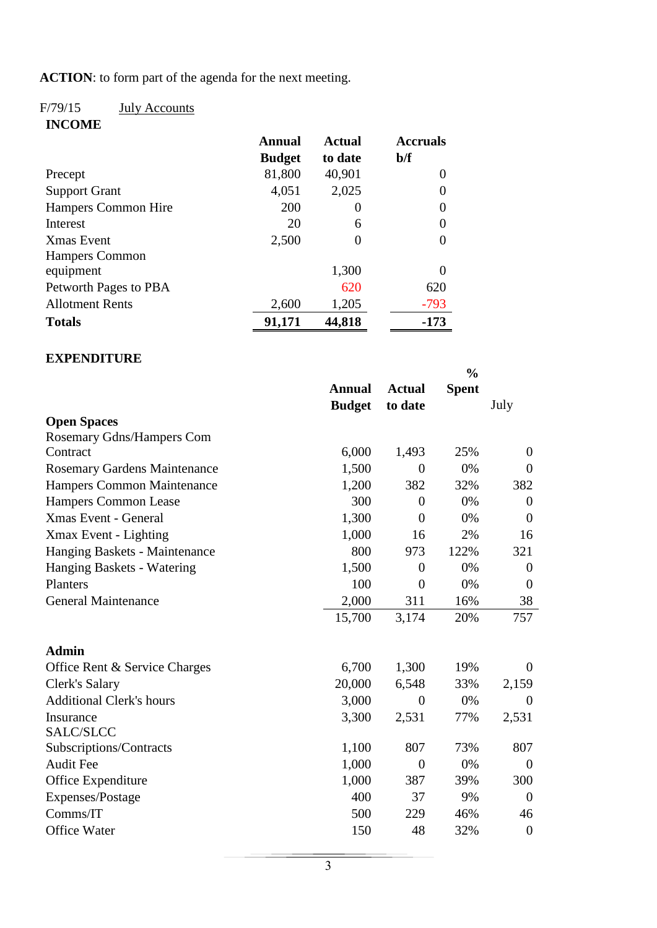**ACTION**: to form part of the agenda for the next meeting.

## F/79/15 July Accounts

**INCOME**

|                        | Annual        | <b>Actual</b> | <b>Accruals</b> |
|------------------------|---------------|---------------|-----------------|
|                        | <b>Budget</b> | to date       | b/f             |
| Precept                | 81,800        | 40,901        | 0               |
| <b>Support Grant</b>   | 4,051         | 2,025         | 0               |
| Hampers Common Hire    | 200           | $\theta$      | 0               |
| Interest               | 20            | 6             | 0               |
| <b>Xmas</b> Event      | 2,500         | 0             | $\Omega$        |
| <b>Hampers Common</b>  |               |               |                 |
| equipment              |               | 1,300         |                 |
| Petworth Pages to PBA  |               | 620           | 620             |
| <b>Allotment Rents</b> | 2,600         | 1,205         | $-793$          |
| <b>Totals</b>          | 91,171        | 44,818        | $-173$          |

### **EXPENDITURE**

|                                     |               |                | $\frac{0}{0}$ |                |
|-------------------------------------|---------------|----------------|---------------|----------------|
|                                     | <b>Annual</b> | <b>Actual</b>  | <b>Spent</b>  |                |
|                                     | <b>Budget</b> | to date        |               | July           |
| <b>Open Spaces</b>                  |               |                |               |                |
| <b>Rosemary Gdns/Hampers Com</b>    |               |                |               |                |
| Contract                            | 6,000         | 1,493          | 25%           | $\theta$       |
| <b>Rosemary Gardens Maintenance</b> | 1,500         | $\overline{0}$ | 0%            | $\theta$       |
| Hampers Common Maintenance          | 1,200         | 382            | 32%           | 382            |
| Hampers Common Lease                | 300           | $\overline{0}$ | 0%            | $\theta$       |
| <b>Xmas Event - General</b>         | 1,300         | $\overline{0}$ | 0%            | $\theta$       |
| Xmax Event - Lighting               | 1,000         | 16             | 2%            | 16             |
| Hanging Baskets - Maintenance       | 800           | 973            | 122%          | 321            |
| Hanging Baskets - Watering          | 1,500         | $\overline{0}$ | 0%            | $\theta$       |
| Planters                            | 100           | $\theta$       | 0%            | $\theta$       |
| <b>General Maintenance</b>          | 2,000         | 311            | 16%           | 38             |
|                                     | 15,700        | 3,174          | 20%           | 757            |
| <b>Admin</b>                        |               |                |               |                |
| Office Rent & Service Charges       | 6,700         | 1,300          | 19%           | $\Omega$       |
| Clerk's Salary                      | 20,000        | 6,548          | 33%           | 2,159          |
| <b>Additional Clerk's hours</b>     | 3,000         | $\overline{0}$ | 0%            | $\theta$       |
| Insurance                           | 3,300         | 2,531          | 77%           | 2,531          |
| SALC/SLCC                           |               |                |               |                |
| Subscriptions/Contracts             | 1,100         | 807            | 73%           | 807            |
| <b>Audit Fee</b>                    | 1,000         | $\overline{0}$ | 0%            | $\theta$       |
| Office Expenditure                  | 1,000         | 387            | 39%           | 300            |
| Expenses/Postage                    | 400           | 37             | 9%            | $\theta$       |
| Comms/IT                            | 500           | 229            | 46%           | 46             |
| <b>Office Water</b>                 | 150           | 48             | 32%           | $\overline{0}$ |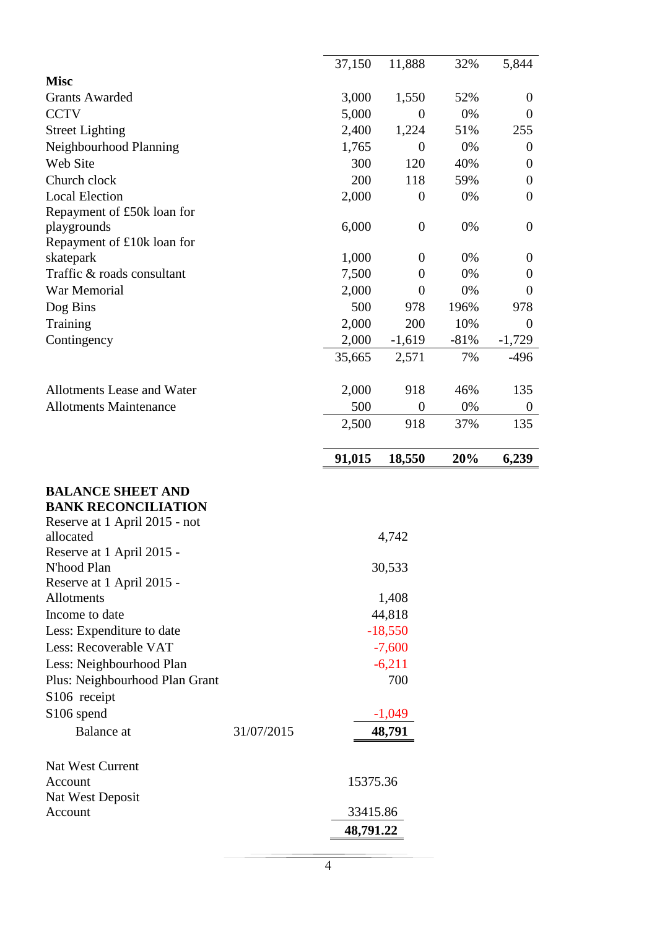|                                                                                                                                                                                                                                                                                                                                                                                      |            | 37,150                                                                                               | 11,888           | 32%    | 5,844            |
|--------------------------------------------------------------------------------------------------------------------------------------------------------------------------------------------------------------------------------------------------------------------------------------------------------------------------------------------------------------------------------------|------------|------------------------------------------------------------------------------------------------------|------------------|--------|------------------|
| <b>Misc</b>                                                                                                                                                                                                                                                                                                                                                                          |            |                                                                                                      |                  |        |                  |
| <b>Grants Awarded</b>                                                                                                                                                                                                                                                                                                                                                                |            | 3,000                                                                                                | 1,550            | 52%    | $\theta$         |
| <b>CCTV</b>                                                                                                                                                                                                                                                                                                                                                                          |            | 5,000                                                                                                | $\theta$         | 0%     | $\theta$         |
| <b>Street Lighting</b>                                                                                                                                                                                                                                                                                                                                                               |            | 2,400                                                                                                | 1,224            | 51%    | 255              |
| Neighbourhood Planning                                                                                                                                                                                                                                                                                                                                                               |            | 1,765                                                                                                | $\theta$         | 0%     | $\theta$         |
| Web Site                                                                                                                                                                                                                                                                                                                                                                             |            | 300                                                                                                  | 120              | 40%    | $\theta$         |
| Church clock                                                                                                                                                                                                                                                                                                                                                                         |            | 200                                                                                                  | 118              | 59%    | $\theta$         |
| <b>Local Election</b>                                                                                                                                                                                                                                                                                                                                                                |            | 2,000                                                                                                | $\boldsymbol{0}$ | 0%     | $\theta$         |
| Repayment of £50k loan for                                                                                                                                                                                                                                                                                                                                                           |            |                                                                                                      |                  |        |                  |
| playgrounds                                                                                                                                                                                                                                                                                                                                                                          |            | 6,000                                                                                                | $\boldsymbol{0}$ | 0%     | $\boldsymbol{0}$ |
| Repayment of £10k loan for                                                                                                                                                                                                                                                                                                                                                           |            |                                                                                                      |                  |        |                  |
| skatepark                                                                                                                                                                                                                                                                                                                                                                            |            | 1,000                                                                                                | $\overline{0}$   | 0%     | $\theta$         |
| Traffic & roads consultant                                                                                                                                                                                                                                                                                                                                                           |            | 7,500                                                                                                | $\boldsymbol{0}$ | 0%     | $\theta$         |
| War Memorial                                                                                                                                                                                                                                                                                                                                                                         |            | 2,000                                                                                                | $\overline{0}$   | 0%     | $\overline{0}$   |
| Dog Bins                                                                                                                                                                                                                                                                                                                                                                             |            | 500                                                                                                  | 978              | 196%   | 978              |
| Training                                                                                                                                                                                                                                                                                                                                                                             |            | 2,000                                                                                                | 200              | 10%    | $\overline{0}$   |
| Contingency                                                                                                                                                                                                                                                                                                                                                                          |            | 2,000                                                                                                | $-1,619$         | $-81%$ | $-1,729$         |
|                                                                                                                                                                                                                                                                                                                                                                                      |            | 35,665                                                                                               | 2,571            | 7%     | $-496$           |
|                                                                                                                                                                                                                                                                                                                                                                                      |            |                                                                                                      |                  |        |                  |
| Allotments Lease and Water                                                                                                                                                                                                                                                                                                                                                           |            | 2,000                                                                                                | 918              | 46%    | 135              |
| <b>Allotments Maintenance</b>                                                                                                                                                                                                                                                                                                                                                        |            | 500                                                                                                  | $\boldsymbol{0}$ | 0%     | $\boldsymbol{0}$ |
|                                                                                                                                                                                                                                                                                                                                                                                      |            |                                                                                                      |                  | 37%    | 135              |
|                                                                                                                                                                                                                                                                                                                                                                                      |            | 2,500                                                                                                | 918              |        |                  |
|                                                                                                                                                                                                                                                                                                                                                                                      |            | 91,015                                                                                               | 18,550           | 20%    | 6,239            |
|                                                                                                                                                                                                                                                                                                                                                                                      |            |                                                                                                      |                  |        |                  |
| <b>BALANCE SHEET AND</b><br><b>BANK RECONCILIATION</b><br>Reserve at 1 April 2015 - not<br>allocated<br>Reserve at 1 April 2015 -<br>N'hood Plan<br>Reserve at 1 April 2015 -<br>Allotments<br>Income to date<br>Less: Expenditure to date<br>Less: Recoverable VAT<br>Less: Neighbourhood Plan<br>Plus: Neighbourhood Plan Grant<br>S106 receipt<br>S106 spend<br><b>Balance</b> at | 31/07/2015 | 4,742<br>30,533<br>1,408<br>44,818<br>$-18,550$<br>$-7,600$<br>$-6,211$<br>700<br>$-1,049$<br>48,791 |                  |        |                  |
| Nat West Current<br>Account<br>Nat West Deposit<br>Account                                                                                                                                                                                                                                                                                                                           |            | 15375.36<br>33415.86<br>48,791.22                                                                    |                  |        |                  |